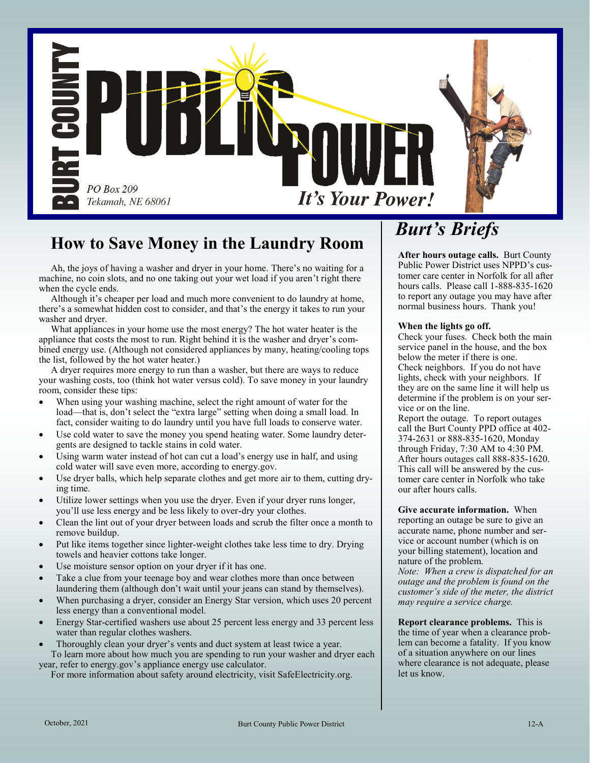

## **How to Save Money in the Laundry Room**

 Ah, the joys of having a washer and dryer in your home. There's no waiting for a machine, no coin slots, and no one taking out your wet load if you aren't right there when the cycle ends.

 Although it's cheaper per load and much more convenient to do laundry at home, there's a somewhat hidden cost to consider, and that's the energy it takes to run your washer and dryer.

 What appliances in your home use the most energy? The hot water heater is the appliance that costs the most to run. Right behind it is the washer and dryer's combined energy use. (Although not considered appliances by many, heating/cooling tops the list, followed by the hot water heater.)

 A dryer requires more energy to run than a washer, but there are ways to reduce your washing costs, too (think hot water versus cold). To save money in your laundry room, consider these tips:

- When using your washing machine, select the right amount of water for the load—that is, don't select the "extra large" setting when doing a small load. In fact, consider waiting to do laundry until you have full loads to conserve water.
- Use cold water to save the money you spend heating water. Some laundry detergents are designed to tackle stains in cold water.
- Using warm water instead of hot can cut a load's energy use in half, and using cold water will save even more, according to energy.gov.
- Use dryer balls, which help separate clothes and get more air to them, cutting drying time.
- Utilize lower settings when you use the dryer. Even if your dryer runs longer, you'll use less energy and be less likely to over-dry your clothes.
- Clean the lint out of your dryer between loads and scrub the filter once a month to remove buildup.
- Put like items together since lighter-weight clothes take less time to dry. Drying towels and heavier cottons take longer.
- Use moisture sensor option on your dryer if it has one.
- Take a clue from your teenage boy and wear clothes more than once between laundering them (although don't wait until your jeans can stand by themselves).
- When purchasing a dryer, consider an Energy Star version, which uses 20 percent less energy than a conventional model.
- Energy Star-certified washers use about 25 percent less energy and 33 percent less water than regular clothes washers.
- Thoroughly clean your dryer's vents and duct system at least twice a year. To learn more about how much you are spending to run your washer and dryer each

year, refer to energy.gov's appliance energy use calculator. For more information about safety around electricity, visit SafeElectricity.org.

# *Burt's Briefs*

**After hours outage calls.** Burt County Public Power District uses NPPD's customer care center in Norfolk for all after hours calls. Please call 1-888-835-1620 to report any outage you may have after normal business hours. Thank you!

#### **When the lights go off.**

Check your fuses. Check both the main service panel in the house, and the box below the meter if there is one.

Check neighbors. If you do not have lights, check with your neighbors. If they are on the same line it will help us determine if the problem is on your service or on the line.

Report the outage. To report outages call the Burt County PPD office at 402- 374-2631 or 888-835-1620, Monday through Friday, 7:30 AM to 4:30 PM. After hours outages call 888-835-1620. This call will be answered by the customer care center in Norfolk who take our after hours calls.

**Give accurate information.** When reporting an outage be sure to give an accurate name, phone number and service or account number (which is on your billing statement), location and nature of the problem.

*Note: When a crew is dispatched for an outage and the problem is found on the customer's side of the meter, the district may require a service charge.*

**Report clearance problems.** This is the time of year when a clearance problem can become a fatality. If you know of a situation anywhere on our lines where clearance is not adequate, please let us know.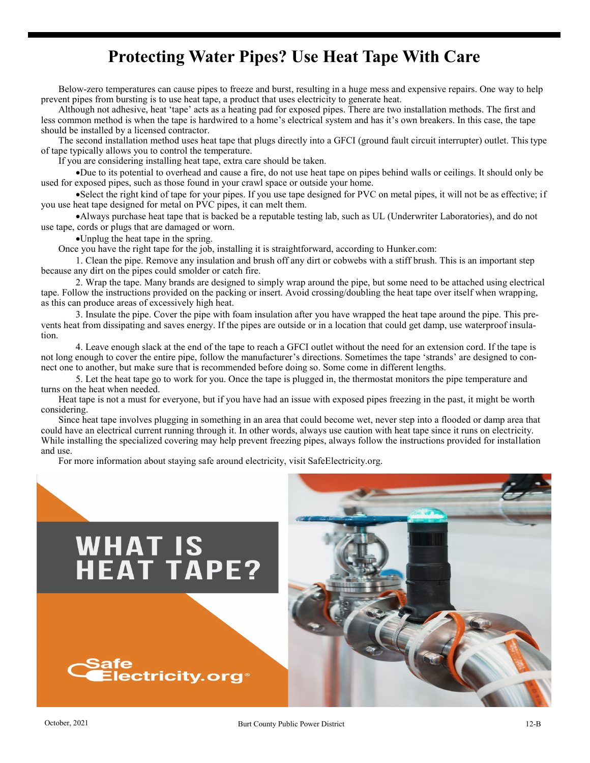#### **Protecting Water Pipes? Use Heat Tape With Care**

Below-zero temperatures can cause pipes to freeze and burst, resulting in a huge mess and expensive repairs. One way to help prevent pipes from bursting is to use heat tape, a product that uses electricity to generate heat.

Although not adhesive, heat 'tape' acts as a heating pad for exposed pipes. There are two installation methods. The first and less common method is when the tape is hardwired to a home's electrical system and has it's own breakers. In this case, the tape should be installed by a licensed contractor.

The second installation method uses heat tape that plugs directly into a GFCI (ground fault circuit interrupter) outlet. This type of tape typically allows you to control the temperature.

If you are considering installing heat tape, extra care should be taken.

•Due to its potential to overhead and cause a fire, do not use heat tape on pipes behind walls or ceilings. It should only be used for exposed pipes, such as those found in your crawl space or outside your home.

•Select the right kind of tape for your pipes. If you use tape designed for PVC on metal pipes, it will not be as effective; if you use heat tape designed for metal on PVC pipes, it can melt them.

•Always purchase heat tape that is backed be a reputable testing lab, such as UL (Underwriter Laboratories), and do not use tape, cords or plugs that are damaged or worn.

•Unplug the heat tape in the spring.

Once you have the right tape for the job, installing it is straightforward, according to Hunker.com:

 Clean the pipe. Remove any insulation and brush off any dirt or cobwebs with a stiff brush. This is an important step because any dirt on the pipes could smolder or catch fire.

 Wrap the tape. Many brands are designed to simply wrap around the pipe, but some need to be attached using electrical tape. Follow the instructions provided on the packing or insert. Avoid crossing/doubling the heat tape over itself when wrapping, as this can produce areas of excessively high heat.

 Insulate the pipe. Cover the pipe with foam insulation after you have wrapped the heat tape around the pipe. This prevents heat from dissipating and saves energy. If the pipes are outside or in a location that could get damp, use waterproof insulation.

 Leave enough slack at the end of the tape to reach a GFCI outlet without the need for an extension cord. If the tape is not long enough to cover the entire pipe, follow the manufacturer's directions. Sometimes the tape 'strands' are designed to connect one to another, but make sure that is recommended before doing so. Some come in different lengths.

 Let the heat tape go to work for you. Once the tape is plugged in, the thermostat monitors the pipe temperature and turns on the heat when needed.

Heat tape is not a must for everyone, but if you have had an issue with exposed pipes freezing in the past, it might be worth considering.

Since heat tape involves plugging in something in an area that could become wet, never step into a flooded or damp area that could have an electrical current running through it. In other words, always use caution with heat tape since it runs on electricity. While installing the specialized covering may help prevent freezing pipes, always follow the instructions provided for installation and use.

For more information about staying safe around electricity, visit SafeElectricity.org.

# **WHAT IS<br>HEAT TAPE?**



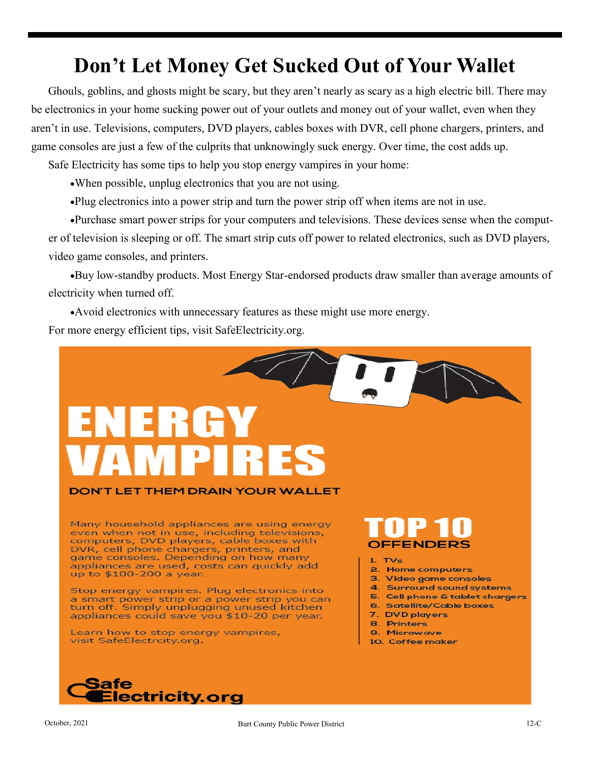# **Don't Let Money Get Sucked Out of Your Wallet**

Ghouls, goblins, and ghosts might be scary, but they aren't nearly as scary as a high electric bill. There may be electronics in your home sucking power out of your outlets and money out of your wallet, even when they aren't in use. Televisions, computers, DVD players, cables boxes with DVR, cell phone chargers, printers, and game consoles are just a few of the culprits that unknowingly suck energy. Over time, the cost adds up.

Safe Electricity has some tips to help you stop energy vampires in your home:

- •When possible, unplug electronics that you are not using.
- •Plug electronics into a power strip and turn the power strip off when items are not in use.

•Purchase smart power strips for your computers and televisions. These devices sense when the computer of television is sleeping or off. The smart strip cuts off power to related electronics, such as DVD players, video game consoles, and printers.

•Buy low-standby products. Most Energy Star-endorsed products draw smaller than average amounts of electricity when turned off.

•Avoid electronics with unnecessary features as these might use more energy. For more energy efficient tips, visit SafeElectricity.org.